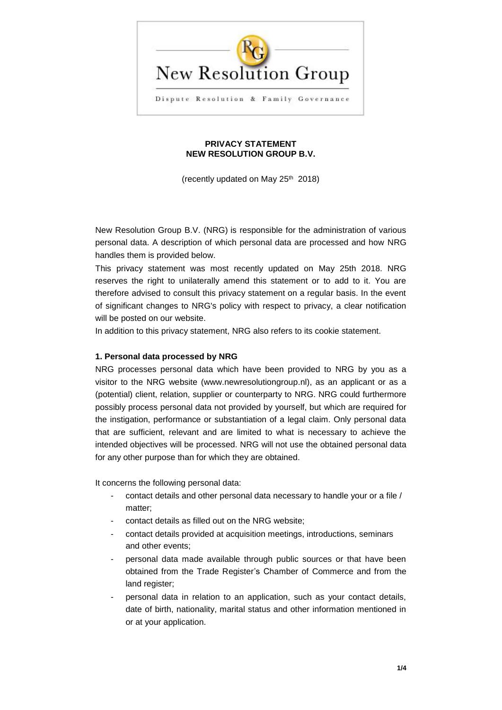

### **PRIVACY STATEMENT NEW RESOLUTION GROUP B.V.**

(recently updated on May 25th 2018)

New Resolution Group B.V. (NRG) is responsible for the administration of various personal data. A description of which personal data are processed and how NRG handles them is provided below.

This privacy statement was most recently updated on May 25th 2018. NRG reserves the right to unilaterally amend this statement or to add to it. You are therefore advised to consult this privacy statement on a regular basis. In the event of significant changes to NRG's policy with respect to privacy, a clear notification will be posted on our website.

In addition to this privacy statement, NRG also refers to its cookie statement.

## **1. Personal data processed by NRG**

NRG processes personal data which have been provided to NRG by you as a visitor to the NRG website (www.newresolutiongroup.nl), as an applicant or as a (potential) client, relation, supplier or counterparty to NRG. NRG could furthermore possibly process personal data not provided by yourself, but which are required for the instigation, performance or substantiation of a legal claim. Only personal data that are sufficient, relevant and are limited to what is necessary to achieve the intended objectives will be processed. NRG will not use the obtained personal data for any other purpose than for which they are obtained.

It concerns the following personal data:

- contact details and other personal data necessary to handle your or a file / matter;
- contact details as filled out on the NRG website:
- contact details provided at acquisition meetings, introductions, seminars and other events;
- personal data made available through public sources or that have been obtained from the Trade Register's Chamber of Commerce and from the land register;
- personal data in relation to an application, such as your contact details, date of birth, nationality, marital status and other information mentioned in or at your application.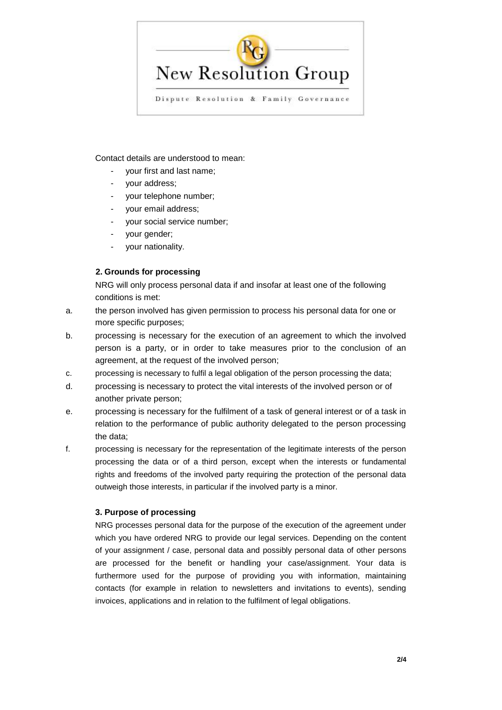

Contact details are understood to mean:

- your first and last name;
- your address;
- your telephone number;
- your email address;
- your social service number;
- your gender;
- your nationality.

# **2. Grounds for processing**

NRG will only process personal data if and insofar at least one of the following conditions is met:

- a. the person involved has given permission to process his personal data for one or more specific purposes;
- b. processing is necessary for the execution of an agreement to which the involved person is a party, or in order to take measures prior to the conclusion of an agreement, at the request of the involved person;
- c. processing is necessary to fulfil a legal obligation of the person processing the data;
- d. processing is necessary to protect the vital interests of the involved person or of another private person;
- e. processing is necessary for the fulfilment of a task of general interest or of a task in relation to the performance of public authority delegated to the person processing the data;
- f. processing is necessary for the representation of the legitimate interests of the person processing the data or of a third person, except when the interests or fundamental rights and freedoms of the involved party requiring the protection of the personal data outweigh those interests, in particular if the involved party is a minor.

## **3. Purpose of processing**

NRG processes personal data for the purpose of the execution of the agreement under which you have ordered NRG to provide our legal services. Depending on the content of your assignment / case, personal data and possibly personal data of other persons are processed for the benefit or handling your case/assignment. Your data is furthermore used for the purpose of providing you with information, maintaining contacts (for example in relation to newsletters and invitations to events), sending invoices, applications and in relation to the fulfilment of legal obligations.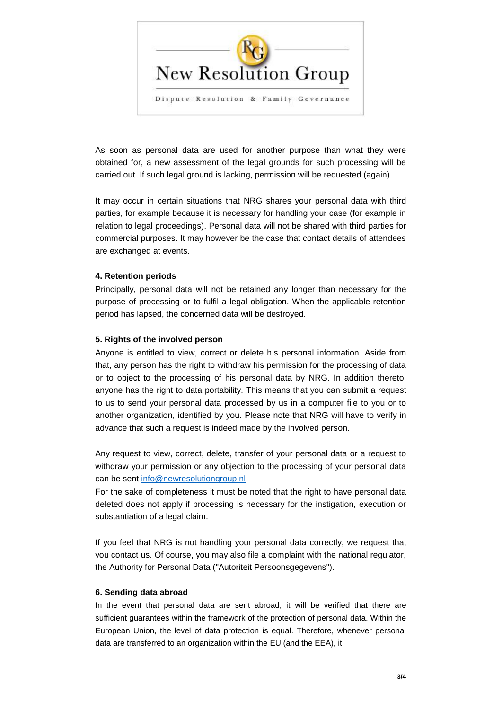

As soon as personal data are used for another purpose than what they were obtained for, a new assessment of the legal grounds for such processing will be carried out. If such legal ground is lacking, permission will be requested (again).

It may occur in certain situations that NRG shares your personal data with third parties, for example because it is necessary for handling your case (for example in relation to legal proceedings). Personal data will not be shared with third parties for commercial purposes. It may however be the case that contact details of attendees are exchanged at events.

## **4. Retention periods**

Principally, personal data will not be retained any longer than necessary for the purpose of processing or to fulfil a legal obligation. When the applicable retention period has lapsed, the concerned data will be destroyed.

#### **5. Rights of the involved person**

Anyone is entitled to view, correct or delete his personal information. Aside from that, any person has the right to withdraw his permission for the processing of data or to object to the processing of his personal data by NRG. In addition thereto, anyone has the right to data portability. This means that you can submit a request to us to send your personal data processed by us in a computer file to you or to another organization, identified by you. Please note that NRG will have to verify in advance that such a request is indeed made by the involved person.

Any request to view, correct, delete, transfer of your personal data or a request to withdraw your permission or any objection to the processing of your personal data can be sent [info@newresolutiongroup.nl](mailto:info@newresolutiongroup.nl)

For the sake of completeness it must be noted that the right to have personal data deleted does not apply if processing is necessary for the instigation, execution or substantiation of a legal claim.

If you feel that NRG is not handling your personal data correctly, we request that you contact us. Of course, you may also file a complaint with the national regulator, the Authority for Personal Data ("Autoriteit Persoonsgegevens").

#### **6. Sending data abroad**

In the event that personal data are sent abroad, it will be verified that there are sufficient guarantees within the framework of the protection of personal data. Within the European Union, the level of data protection is equal. Therefore, whenever personal data are transferred to an organization within the EU (and the EEA), it